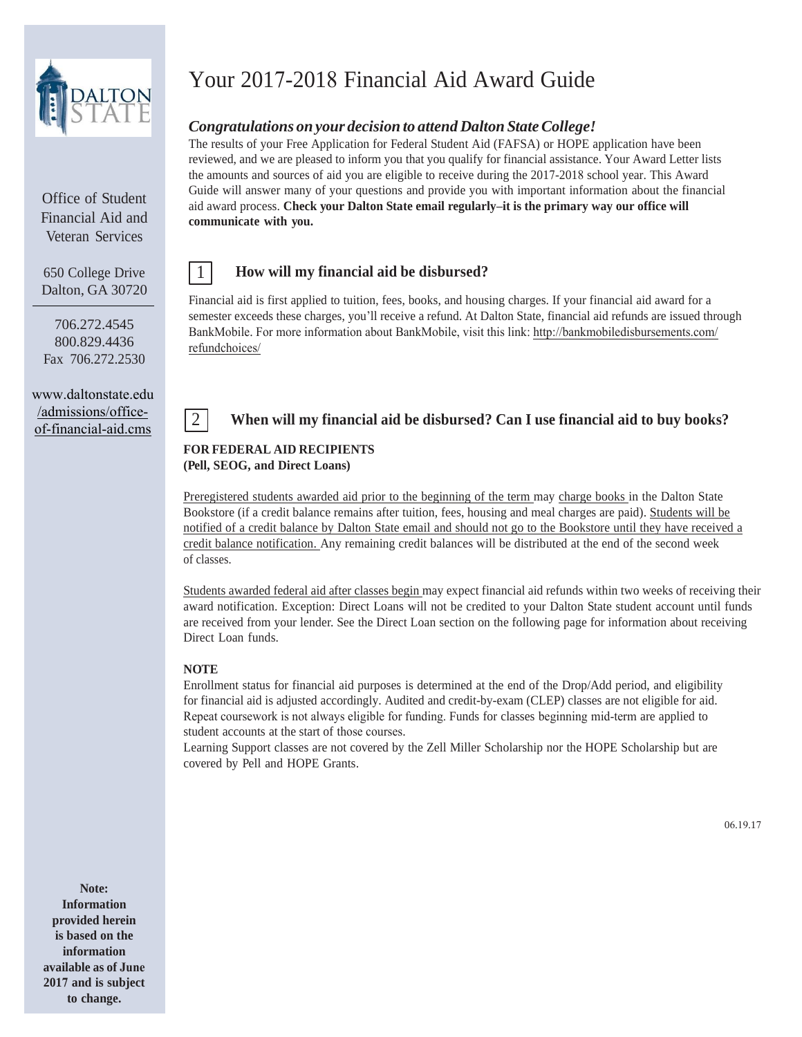

Office of Student Financial Aid and Veteran Services

650 College Drive Dalton, GA 30720

706.272.4545 800.829.4436 Fax 706.272.2530

[www.daltonstate.edu](http://www.daltonstate.edu/) /admissions/officeof-financial-aid.cms

# Your 2017-2018 Financial Aid Award Guide

# *Congratulations on your decision to attend Dalton State College!*

The results of your Free Application for Federal Student Aid (FAFSA) or HOPE application have been reviewed, and we are pleased to inform you that you qualify for financial assistance. Your Award Letter lists the amounts and sources of aid you are eligible to receive during the 2017-2018 school year. This Award Guide will answer many of your questions and provide you with important information about the financial aid award process. **Check your Dalton State email regularly–it is the primary way our office will communicate with you.**

### 1 **How will my financial aid be disbursed?**

Financial aid is first applied to tuition, fees, books, and housing charges. If your financial aid award for a semester exceeds these charges, you'll receive a refund. At Dalton State, financial aid refunds are issued through BankMobile. [For more information about BankMobile, visit this link: http://bankmobiledisbursements.com/](http://bankmobiledisbursements.com/refundchoices/) refundchoices/

# 2 **When will my financial aid be disbursed? Can I use financial aid to buy books?**

### **FOR FEDERAL AID RECIPIENTS (Pell, SEOG, and Direct Loans)**

Preregistered students awarded aid prior to the beginning of the term may charge books in the Dalton State Bookstore (if a credit balance remains after tuition, fees, housing and meal charges are paid). Students will be notified of a credit balance by Dalton State email and should not go to the Bookstore until they have received a credit balance notification. Any remaining credit balances will be distributed at the end of the second week of classes.

Students awarded federal aid after classes begin may expect financial aid refunds within two weeks of receiving their award notification. Exception: Direct Loans will not be credited to your Dalton State student account until funds are received from your lender. See the Direct Loan section on the following page for information about receiving Direct Loan funds.

### **NOTE**

Enrollment status for financial aid purposes is determined at the end of the Drop/Add period, and eligibility for financial aid is adjusted accordingly. Audited and credit-by-exam (CLEP) classes are not eligible for aid. Repeat coursework is not always eligible for funding. Funds for classes beginning mid-term are applied to student accounts at the start of those courses.

Learning Support classes are not covered by the Zell Miller Scholarship nor the HOPE Scholarship but are covered by Pell and HOPE Grants.

**Note: Information provided herein is based on the information available as of June 2017 and is subject to change.**

06.19.17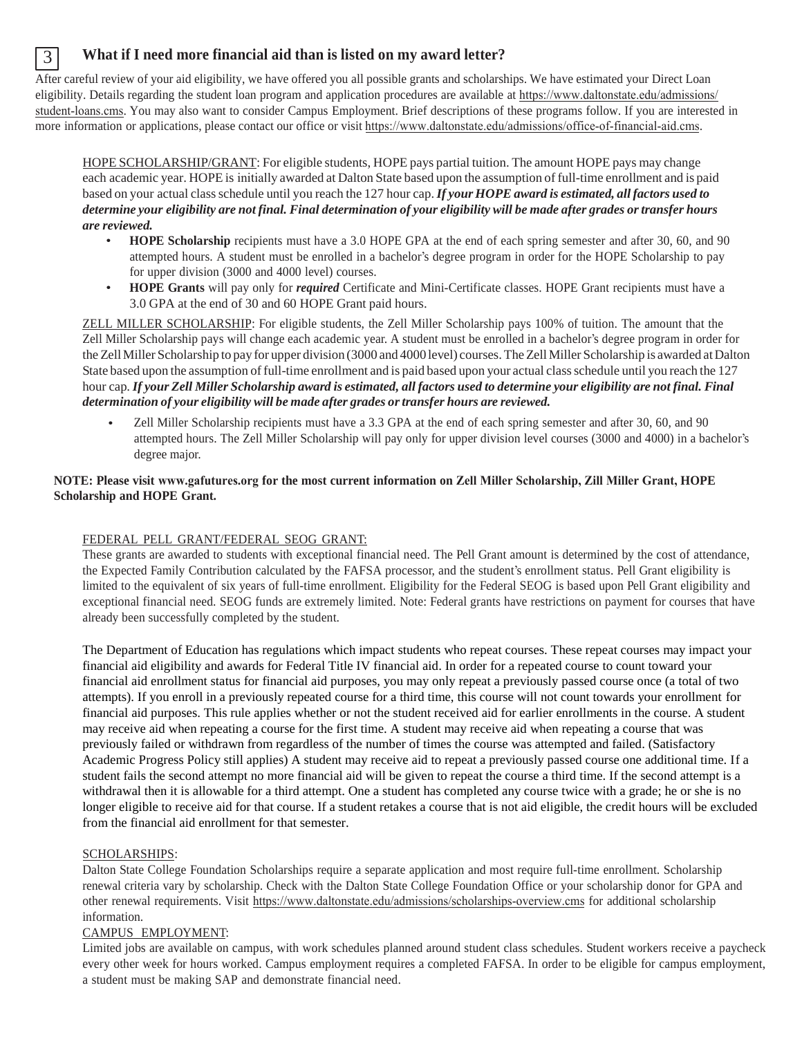# 3 **What if I need more financial aid than is listed on my award letter?**

After careful review of your aid eligibility, we have offered you all possible grants and scholarships. We have estimated your Direct Loan eligibility. Details regarding the student loan program and application procedures are available at [https://www.daltonstate.edu/admissio](http://www.daltonstate.edu/financial-aid)ns/ student-loans.cms. You may also want to consider Campus Employment. Brief descriptions of these programs follow. If you are interested in more information or applications, please cont[act our office or](http://www.daltonstate.edu/financial-aid) visit https://www.daltonstate.edu/admissions/office-of-financial-aid.cms.

HOPE SCHOLARSHIP/GRANT: For eligible students, HOPE pays partial tuition. The amount HOPE pays may change each academic year. HOPE is initially awarded at Dalton State based upon the assumption of full-time enrollment and is paid based on your actual class schedule until you reach the 127 hour cap. *If your HOPE award is estimated, all factors used to determine your eligibility are not final. Final determination of your eligibility will be made after grades ortransfer hours are reviewed.*

- **HOPE Scholarship** recipients must have a 3.0 HOPE GPA at the end of each spring semester and after 30, 60, and 90 attempted hours. A student must be enrolled in a bachelor's degree program in order for the HOPE Scholarship to pay for upper division (3000 and 4000 level) courses.
- **HOPE Grants** will pay only for *required* Certificate and Mini-Certificate classes. HOPE Grant recipients must have a 3.0 GPA at the end of 30 and 60 HOPE Grant paid hours.

ZELL MILLER SCHOLARSHIP: For eligible students, the Zell Miller Scholarship pays 100% of tuition. The amount that the Zell Miller Scholarship pays will change each academic year. A student must be enrolled in a bachelor's degree program in order for the Zell Miller Scholarship to pay for upper division (3000 and 4000 level) courses. The Zell Miller Scholarship is awarded at Dalton State based upon the assumption of full-time enrollment and is paid based upon your actual class schedule until you reach the 127 hour cap. *If your Zell Miller Scholarship award is estimated, all factors used to determine your eligibility are not final. Final determination of your eligibility will be made after grades or transfer hours are reviewed.*

• Zell Miller Scholarship recipients must have a 3.3 GPA at the end of each spring semester and after 30, 60, and 90 attempted hours. The Zell Miller Scholarship will pay only for upper division level courses (3000 and 4000) in a bachelor's degree major.

### **NOTE: Please visit www.gafutures.org for the most current information on Zell Miller Scholarship, Zill Miller Grant, HOPE Scholarship and HOPE Grant.**

### FEDERAL PELL GRANT/FEDERAL SEOG GRANT:

These grants are awarded to students with exceptional financial need. The Pell Grant amount is determined by the cost of attendance, the Expected Family Contribution calculated by the FAFSA processor, and the student's enrollment status. Pell Grant eligibility is limited to the equivalent of six years of full-time enrollment. Eligibility for the Federal SEOG is based upon Pell Grant eligibility and exceptional financial need. SEOG funds are extremely limited. Note: Federal grants have restrictions on payment for courses that have already been successfully completed by the student.

The Department of Education has regulations which impact students who repeat courses. These repeat courses may impact your financial aid eligibility and awards for Federal Title IV financial aid. In order for a repeated course to count toward your financial aid enrollment status for financial aid purposes, you may only repeat a previously passed course once (a total of two attempts). If you enroll in a previously repeated course for a third time, this course will not count towards your enrollment for financial aid purposes. This rule applies whether or not the student received aid for earlier enrollments in the course. A student may receive aid when repeating a course for the first time. A student may receive aid when repeating a course that was previously failed or withdrawn from regardless of the number of times the course was attempted and failed. (Satisfactory Academic Progress Policy still applies) A student may receive aid to repeat a previously passed course one additional time. If a student fails the second attempt no more financial aid will be given to repeat the course a third time. If the second attempt is a withdrawal then it is allowable for a third attempt. One a student has completed any course twice with a grade; he or she is no longer eligible to receive aid for that course. If a student retakes a course that is not aid eligible, the credit hours will be excluded from the financial aid enrollment for that semester.

### SCHOLARSHIPS:

Dalton State College Foundation Scholarships require a separate application and most require full-time enrollment. Scholarship renewal criteria vary by scholarship. Check with the Dalton State College Foundation Office or your scholarship donor for GPA and other renewal requirements. Visit [https://www.daltonstate.edu/admissions/scholarships-o](http://www.daltonstate.edu/financial-aid/scholarships.html)verview.cms for additional scholarship information.

### CAMPUS EMPLOYMENT:

Limited jobs are available on campus, with work schedules planned around student class schedules. Student workers receive a paycheck every other week for hours worked. Campus employment requires a completed FAFSA. In order to be eligible for campus employment, a student must be making SAP and demonstrate financial need.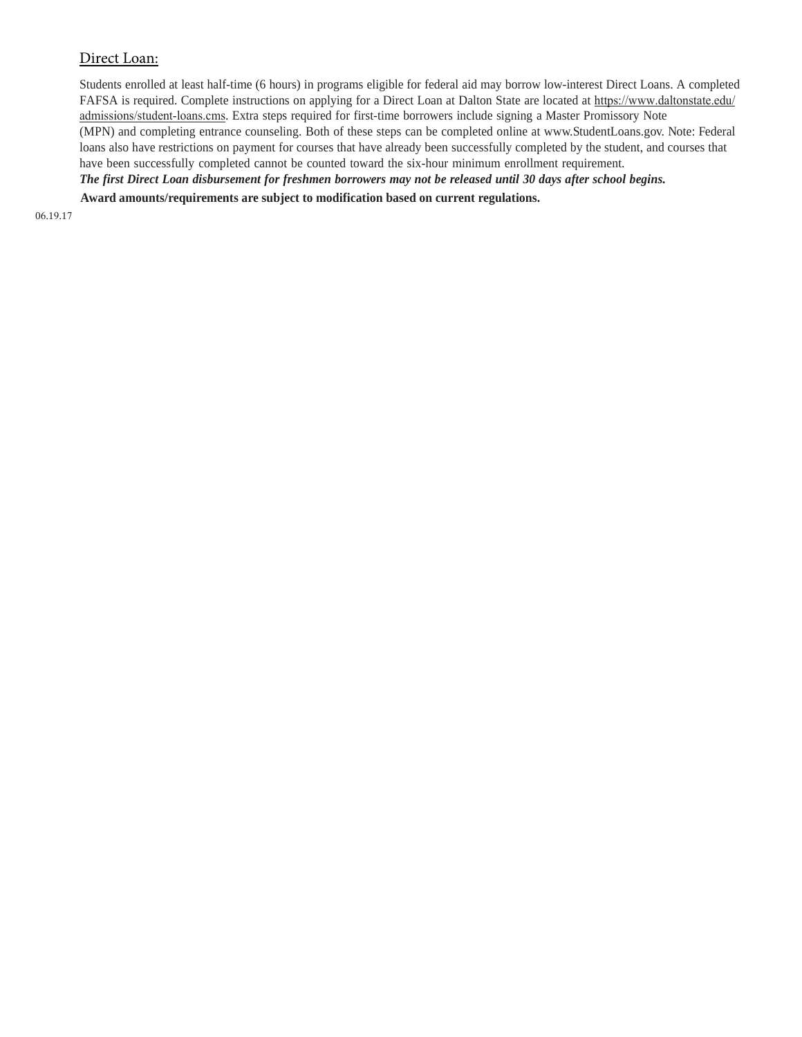### Direct Loan:

Students enrolled at least half-time (6 hours) in programs eligible for federal aid may borrow low-interest Direct Loans. A completed FAFSA is required. Complete instructions on applying for a Direct Loan at Dalton State are located at [https://www.dalt](http://www.studentloans.gov/)onstate.edu/ admissions/student-loans.cms. Extra steps required for first-time borrowers include signing a Master Promissory Note (MPN) and completing entrance counseling. Both of these steps can be completed online at www.StudentLoans.gov. Note: Federal loans also have restrictions on payment for courses that have already been successfully completed by the student, and courses that have been successfully completed cannot be counted toward the six-hour minimum enrollment requirement. *The first Direct Loan disbursement for freshmen borrowers may not be released until 30 days after school begins.*

**Award amounts/requirements are subject to modification based on current regulations.**

06.19.17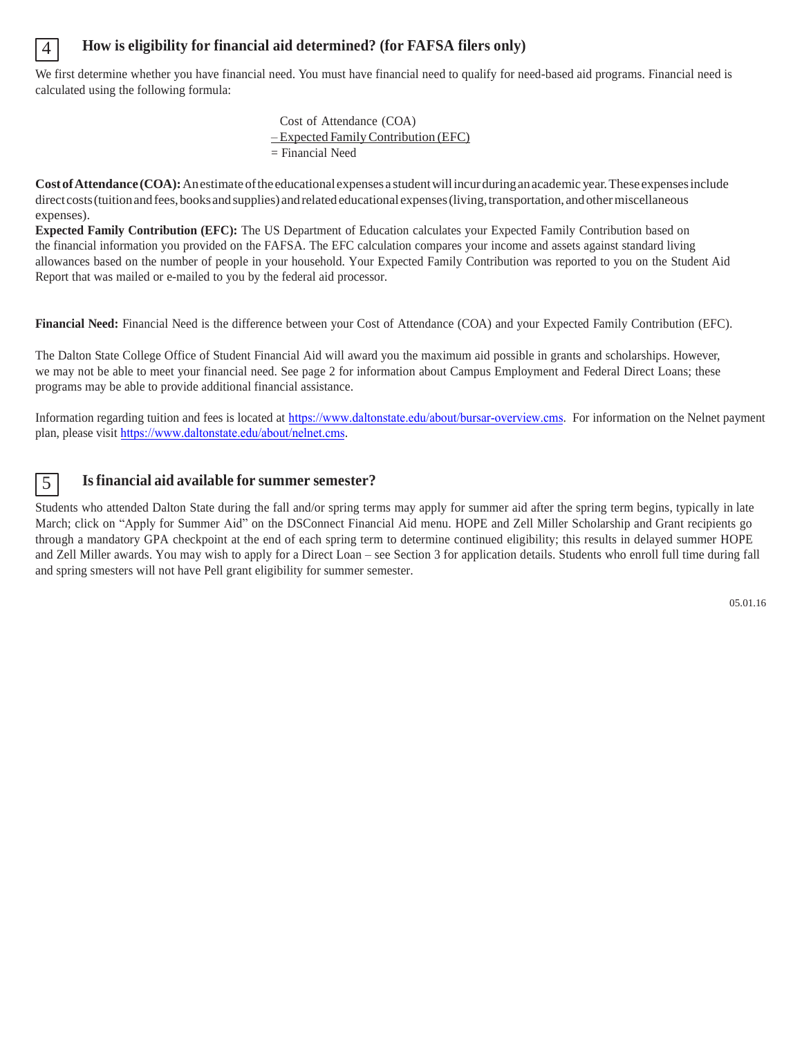### 4 **How is eligibility for financial aid determined? (for FAFSA filers only)**

We first determine whether you have financial need. You must have financial need to qualify for need-based aid programs. Financial need is calculated using the following formula:

> Cost of Attendance (COA) – Expected Family Contribution (EFC) = Financial Need

**Cost ofAttendance (COA):** Anestimate ofthe educational expenses a student will incur during anacademic year. These expenses include direct costs (tuition and fees, books and supplies) and related educational expenses (living, transportation, and other miscellaneous expenses).

**Expected Family Contribution (EFC):** The US Department of Education calculates your Expected Family Contribution based on the financial information you provided on the FAFSA. The EFC calculation compares your income and assets against standard living allowances based on the number of people in your household. Your Expected Family Contribution was reported to you on the Student Aid Report that was mailed or e-mailed to you by the federal aid processor.

**Financial Need:** Financial Need is the difference between your Cost of Attendance (COA) and your Expected Family Contribution (EFC).

The Dalton State College Office of Student Financial Aid will award you the maximum aid possible in grants and scholarships. However, we may not be able to meet your financial need. See page 2 for information about Campus Employment and Federal Direct Loans; these programs may be able to provide additional financial assistance.

Information regarding tuition and fees is located at [https://www.daltonstate.edu/about/bursar-overview.cms](https://www.daltonstate.edu/admissions/tuition-and-fees-overview.cms). For information on the Nelnet payment plan, please visit https://www.dal[tonstate.edu/about/nelnet.cms](www.daltonstate.edu/bursar/nelnet.html).

# 5 **Is financial aid available for summer semester?**

Students who attended Dalton State during the fall and/or spring terms may apply for summer aid after the spring term begins, typically in late March; click on "Apply for Summer Aid" on the DSConnect Financial Aid menu. HOPE and Zell Miller Scholarship and Grant recipients go through a mandatory GPA checkpoint at the end of each spring term to determine continued eligibility; this results in delayed summer HOPE and Zell Miller awards. You may wish to apply for a Direct Loan – see Section 3 for application details. Students who enroll full time during fall and spring smesters will not have Pell grant eligibility for summer semester.

05.01.16